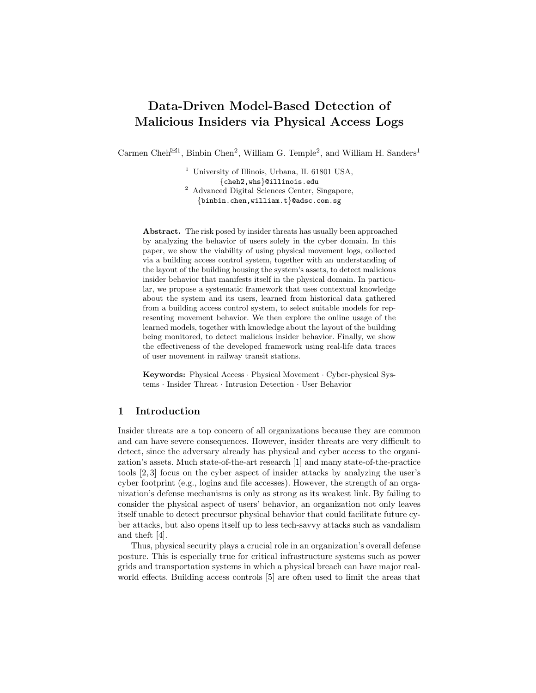# Data-Driven Model-Based Detection of Malicious Insiders via Physical Access Logs

Carmen Cheh<sup> $\boxtimes$ 1</sup>, Binbin Chen<sup>2</sup>, William G. Temple<sup>2</sup>, and William H. Sanders<sup>1</sup>

<sup>1</sup> University of Illinois, Urbana, IL 61801 USA, {cheh2,whs}@illinois.edu <sup>2</sup> Advanced Digital Sciences Center, Singapore, {binbin.chen,william.t}@adsc.com.sg

Abstract. The risk posed by insider threats has usually been approached by analyzing the behavior of users solely in the cyber domain. In this paper, we show the viability of using physical movement logs, collected via a building access control system, together with an understanding of the layout of the building housing the system's assets, to detect malicious insider behavior that manifests itself in the physical domain. In particular, we propose a systematic framework that uses contextual knowledge about the system and its users, learned from historical data gathered from a building access control system, to select suitable models for representing movement behavior. We then explore the online usage of the learned models, together with knowledge about the layout of the building being monitored, to detect malicious insider behavior. Finally, we show the effectiveness of the developed framework using real-life data traces of user movement in railway transit stations.

Keywords: Physical Access · Physical Movement · Cyber-physical Systems · Insider Threat · Intrusion Detection · User Behavior

# 1 Introduction

Insider threats are a top concern of all organizations because they are common and can have severe consequences. However, insider threats are very difficult to detect, since the adversary already has physical and cyber access to the organization's assets. Much state-of-the-art research [1] and many state-of-the-practice tools [2, 3] focus on the cyber aspect of insider attacks by analyzing the user's cyber footprint (e.g., logins and file accesses). However, the strength of an organization's defense mechanisms is only as strong as its weakest link. By failing to consider the physical aspect of users' behavior, an organization not only leaves itself unable to detect precursor physical behavior that could facilitate future cyber attacks, but also opens itself up to less tech-savvy attacks such as vandalism and theft [4].

Thus, physical security plays a crucial role in an organization's overall defense posture. This is especially true for critical infrastructure systems such as power grids and transportation systems in which a physical breach can have major realworld effects. Building access controls [5] are often used to limit the areas that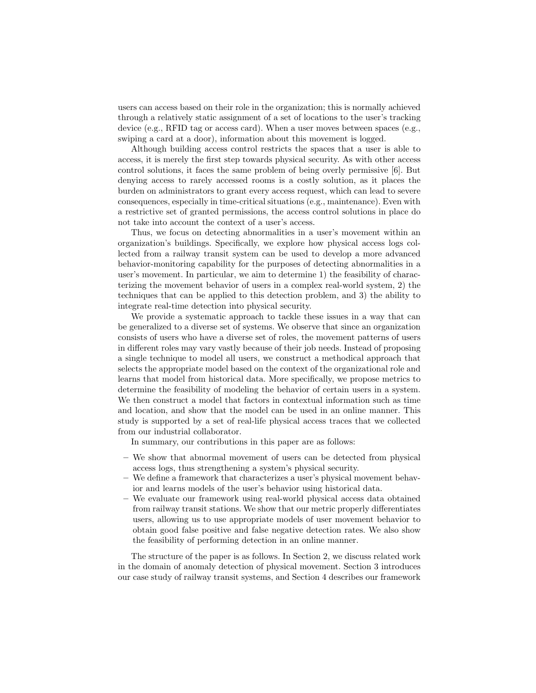users can access based on their role in the organization; this is normally achieved through a relatively static assignment of a set of locations to the user's tracking device (e.g., RFID tag or access card). When a user moves between spaces (e.g., swiping a card at a door), information about this movement is logged.

Although building access control restricts the spaces that a user is able to access, it is merely the first step towards physical security. As with other access control solutions, it faces the same problem of being overly permissive [6]. But denying access to rarely accessed rooms is a costly solution, as it places the burden on administrators to grant every access request, which can lead to severe consequences, especially in time-critical situations (e.g., maintenance). Even with a restrictive set of granted permissions, the access control solutions in place do not take into account the context of a user's access.

Thus, we focus on detecting abnormalities in a user's movement within an organization's buildings. Specifically, we explore how physical access logs collected from a railway transit system can be used to develop a more advanced behavior-monitoring capability for the purposes of detecting abnormalities in a user's movement. In particular, we aim to determine 1) the feasibility of characterizing the movement behavior of users in a complex real-world system, 2) the techniques that can be applied to this detection problem, and 3) the ability to integrate real-time detection into physical security.

We provide a systematic approach to tackle these issues in a way that can be generalized to a diverse set of systems. We observe that since an organization consists of users who have a diverse set of roles, the movement patterns of users in different roles may vary vastly because of their job needs. Instead of proposing a single technique to model all users, we construct a methodical approach that selects the appropriate model based on the context of the organizational role and learns that model from historical data. More specifically, we propose metrics to determine the feasibility of modeling the behavior of certain users in a system. We then construct a model that factors in contextual information such as time and location, and show that the model can be used in an online manner. This study is supported by a set of real-life physical access traces that we collected from our industrial collaborator.

In summary, our contributions in this paper are as follows:

- We show that abnormal movement of users can be detected from physical access logs, thus strengthening a system's physical security.
- We define a framework that characterizes a user's physical movement behavior and learns models of the user's behavior using historical data.
- We evaluate our framework using real-world physical access data obtained from railway transit stations. We show that our metric properly differentiates users, allowing us to use appropriate models of user movement behavior to obtain good false positive and false negative detection rates. We also show the feasibility of performing detection in an online manner.

The structure of the paper is as follows. In Section 2, we discuss related work in the domain of anomaly detection of physical movement. Section 3 introduces our case study of railway transit systems, and Section 4 describes our framework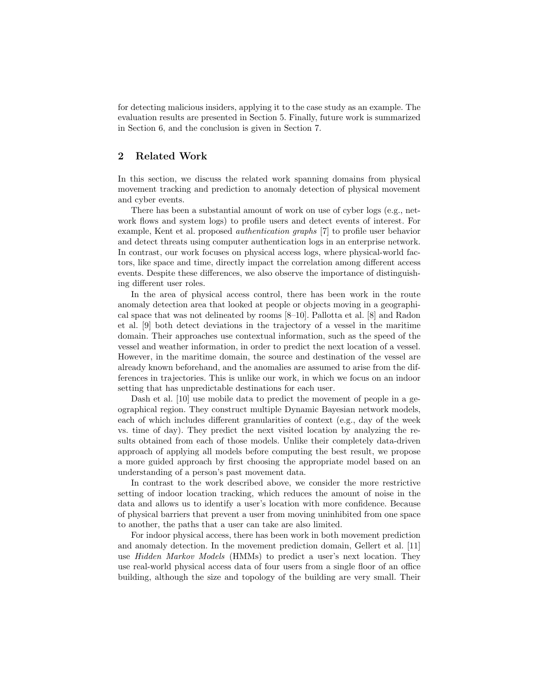for detecting malicious insiders, applying it to the case study as an example. The evaluation results are presented in Section 5. Finally, future work is summarized in Section 6, and the conclusion is given in Section 7.

# 2 Related Work

In this section, we discuss the related work spanning domains from physical movement tracking and prediction to anomaly detection of physical movement and cyber events.

There has been a substantial amount of work on use of cyber logs (e.g., network flows and system logs) to profile users and detect events of interest. For example, Kent et al. proposed authentication graphs [7] to profile user behavior and detect threats using computer authentication logs in an enterprise network. In contrast, our work focuses on physical access logs, where physical-world factors, like space and time, directly impact the correlation among different access events. Despite these differences, we also observe the importance of distinguishing different user roles.

In the area of physical access control, there has been work in the route anomaly detection area that looked at people or objects moving in a geographical space that was not delineated by rooms [8–10]. Pallotta et al. [8] and Radon et al. [9] both detect deviations in the trajectory of a vessel in the maritime domain. Their approaches use contextual information, such as the speed of the vessel and weather information, in order to predict the next location of a vessel. However, in the maritime domain, the source and destination of the vessel are already known beforehand, and the anomalies are assumed to arise from the differences in trajectories. This is unlike our work, in which we focus on an indoor setting that has unpredictable destinations for each user.

Dash et al. [10] use mobile data to predict the movement of people in a geographical region. They construct multiple Dynamic Bayesian network models, each of which includes different granularities of context (e.g., day of the week vs. time of day). They predict the next visited location by analyzing the results obtained from each of those models. Unlike their completely data-driven approach of applying all models before computing the best result, we propose a more guided approach by first choosing the appropriate model based on an understanding of a person's past movement data.

In contrast to the work described above, we consider the more restrictive setting of indoor location tracking, which reduces the amount of noise in the data and allows us to identify a user's location with more confidence. Because of physical barriers that prevent a user from moving uninhibited from one space to another, the paths that a user can take are also limited.

For indoor physical access, there has been work in both movement prediction and anomaly detection. In the movement prediction domain, Gellert et al. [11] use Hidden Markov Models (HMMs) to predict a user's next location. They use real-world physical access data of four users from a single floor of an office building, although the size and topology of the building are very small. Their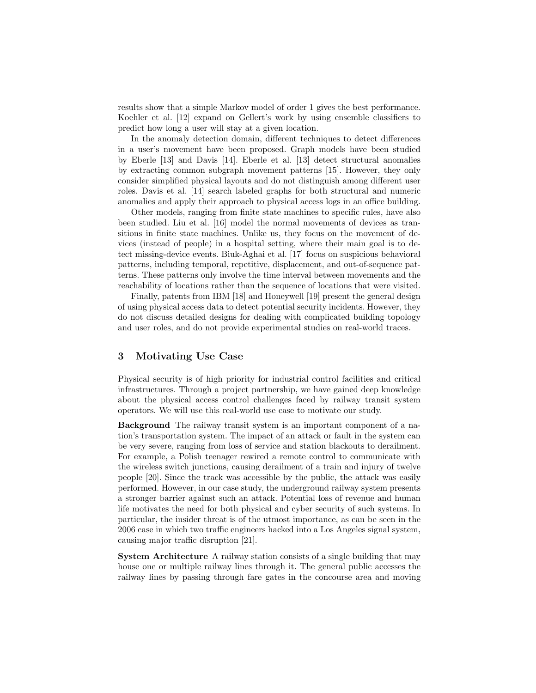results show that a simple Markov model of order 1 gives the best performance. Koehler et al. [12] expand on Gellert's work by using ensemble classifiers to predict how long a user will stay at a given location.

In the anomaly detection domain, different techniques to detect differences in a user's movement have been proposed. Graph models have been studied by Eberle [13] and Davis [14]. Eberle et al. [13] detect structural anomalies by extracting common subgraph movement patterns [15]. However, they only consider simplified physical layouts and do not distinguish among different user roles. Davis et al. [14] search labeled graphs for both structural and numeric anomalies and apply their approach to physical access logs in an office building.

Other models, ranging from finite state machines to specific rules, have also been studied. Liu et al. [16] model the normal movements of devices as transitions in finite state machines. Unlike us, they focus on the movement of devices (instead of people) in a hospital setting, where their main goal is to detect missing-device events. Biuk-Aghai et al. [17] focus on suspicious behavioral patterns, including temporal, repetitive, displacement, and out-of-sequence patterns. These patterns only involve the time interval between movements and the reachability of locations rather than the sequence of locations that were visited.

Finally, patents from IBM [18] and Honeywell [19] present the general design of using physical access data to detect potential security incidents. However, they do not discuss detailed designs for dealing with complicated building topology and user roles, and do not provide experimental studies on real-world traces.

# 3 Motivating Use Case

Physical security is of high priority for industrial control facilities and critical infrastructures. Through a project partnership, we have gained deep knowledge about the physical access control challenges faced by railway transit system operators. We will use this real-world use case to motivate our study.

Background The railway transit system is an important component of a nation's transportation system. The impact of an attack or fault in the system can be very severe, ranging from loss of service and station blackouts to derailment. For example, a Polish teenager rewired a remote control to communicate with the wireless switch junctions, causing derailment of a train and injury of twelve people [20]. Since the track was accessible by the public, the attack was easily performed. However, in our case study, the underground railway system presents a stronger barrier against such an attack. Potential loss of revenue and human life motivates the need for both physical and cyber security of such systems. In particular, the insider threat is of the utmost importance, as can be seen in the 2006 case in which two traffic engineers hacked into a Los Angeles signal system, causing major traffic disruption [21].

System Architecture A railway station consists of a single building that may house one or multiple railway lines through it. The general public accesses the railway lines by passing through fare gates in the concourse area and moving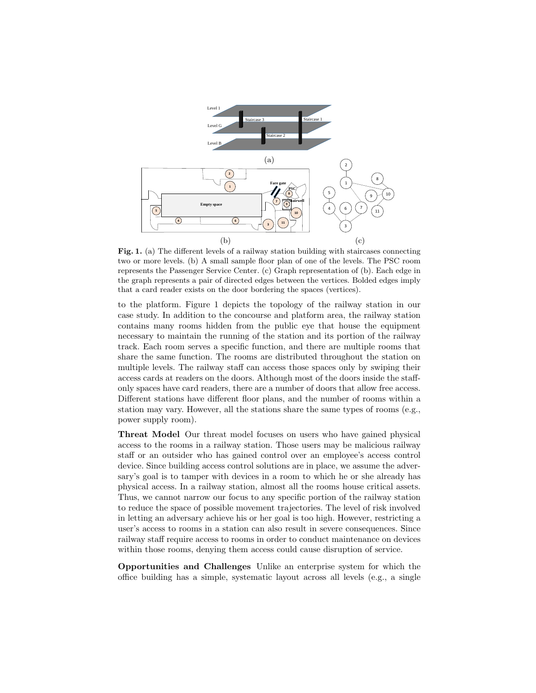

Fig. 1. (a) The different levels of a railway station building with staircases connecting two or more levels. (b) A small sample floor plan of one of the levels. The PSC room represents the Passenger Service Center. (c) Graph representation of (b). Each edge in the graph represents a pair of directed edges between the vertices. Bolded edges imply that a card reader exists on the door bordering the spaces (vertices).

to the platform. Figure 1 depicts the topology of the railway station in our case study. In addition to the concourse and platform area, the railway station contains many rooms hidden from the public eye that house the equipment necessary to maintain the running of the station and its portion of the railway track. Each room serves a specific function, and there are multiple rooms that share the same function. The rooms are distributed throughout the station on multiple levels. The railway staff can access those spaces only by swiping their access cards at readers on the doors. Although most of the doors inside the staffonly spaces have card readers, there are a number of doors that allow free access. Different stations have different floor plans, and the number of rooms within a station may vary. However, all the stations share the same types of rooms (e.g., power supply room).

Threat Model Our threat model focuses on users who have gained physical access to the rooms in a railway station. Those users may be malicious railway staff or an outsider who has gained control over an employee's access control device. Since building access control solutions are in place, we assume the adversary's goal is to tamper with devices in a room to which he or she already has physical access. In a railway station, almost all the rooms house critical assets. Thus, we cannot narrow our focus to any specific portion of the railway station to reduce the space of possible movement trajectories. The level of risk involved in letting an adversary achieve his or her goal is too high. However, restricting a user's access to rooms in a station can also result in severe consequences. Since railway staff require access to rooms in order to conduct maintenance on devices within those rooms, denying them access could cause disruption of service.

Opportunities and Challenges Unlike an enterprise system for which the office building has a simple, systematic layout across all levels (e.g., a single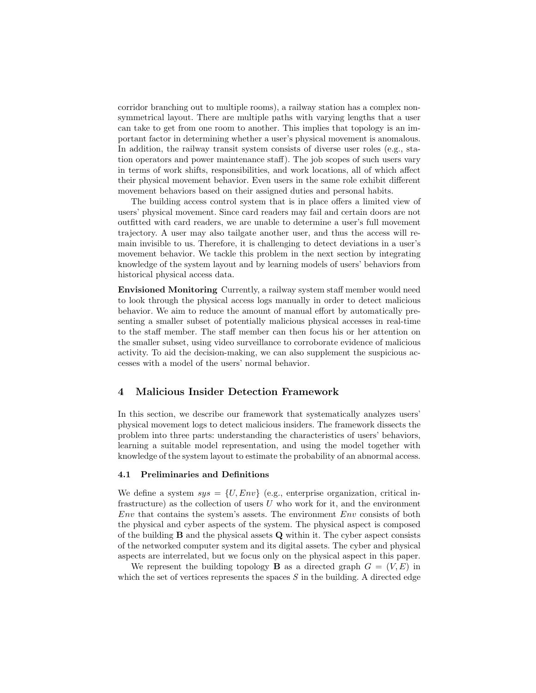corridor branching out to multiple rooms), a railway station has a complex nonsymmetrical layout. There are multiple paths with varying lengths that a user can take to get from one room to another. This implies that topology is an important factor in determining whether a user's physical movement is anomalous. In addition, the railway transit system consists of diverse user roles (e.g., station operators and power maintenance staff). The job scopes of such users vary in terms of work shifts, responsibilities, and work locations, all of which affect their physical movement behavior. Even users in the same role exhibit different movement behaviors based on their assigned duties and personal habits.

The building access control system that is in place offers a limited view of users' physical movement. Since card readers may fail and certain doors are not outfitted with card readers, we are unable to determine a user's full movement trajectory. A user may also tailgate another user, and thus the access will remain invisible to us. Therefore, it is challenging to detect deviations in a user's movement behavior. We tackle this problem in the next section by integrating knowledge of the system layout and by learning models of users' behaviors from historical physical access data.

Envisioned Monitoring Currently, a railway system staff member would need to look through the physical access logs manually in order to detect malicious behavior. We aim to reduce the amount of manual effort by automatically presenting a smaller subset of potentially malicious physical accesses in real-time to the staff member. The staff member can then focus his or her attention on the smaller subset, using video surveillance to corroborate evidence of malicious activity. To aid the decision-making, we can also supplement the suspicious accesses with a model of the users' normal behavior.

# 4 Malicious Insider Detection Framework

In this section, we describe our framework that systematically analyzes users' physical movement logs to detect malicious insiders. The framework dissects the problem into three parts: understanding the characteristics of users' behaviors, learning a suitable model representation, and using the model together with knowledge of the system layout to estimate the probability of an abnormal access.

### 4.1 Preliminaries and Definitions

We define a system  $sys = \{U, Env\}$  (e.g., enterprise organization, critical infrastructure) as the collection of users  $U$  who work for it, and the environment  $Env$  that contains the system's assets. The environment  $Env$  consists of both the physical and cyber aspects of the system. The physical aspect is composed of the building  $\bf{B}$  and the physical assets  $\bf{Q}$  within it. The cyber aspect consists of the networked computer system and its digital assets. The cyber and physical aspects are interrelated, but we focus only on the physical aspect in this paper.

We represent the building topology **B** as a directed graph  $G = (V, E)$  in which the set of vertices represents the spaces  $S$  in the building. A directed edge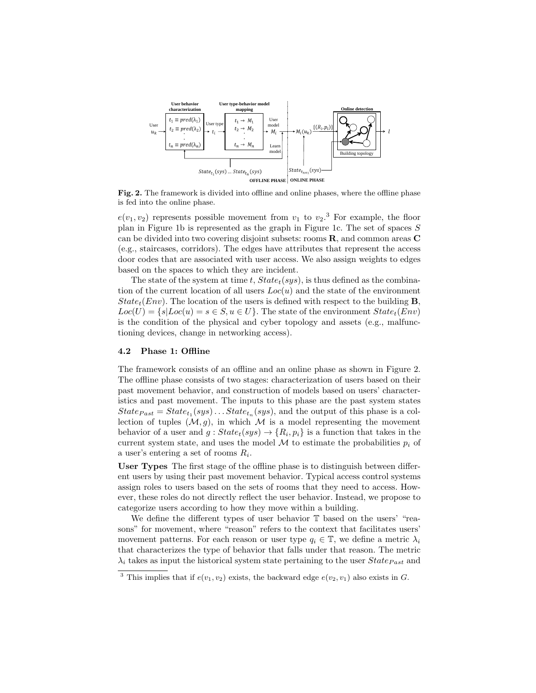

Fig. 2. The framework is divided into offline and online phases, where the offline phase is fed into the online phase.

 $e(v_1, v_2)$  represents possible movement from  $v_1$  to  $v_2$ .<sup>3</sup> For example, the floor plan in Figure 1b is represented as the graph in Figure 1c. The set of spaces S can be divided into two covering disjoint subsets: rooms R, and common areas C (e.g., staircases, corridors). The edges have attributes that represent the access door codes that are associated with user access. We also assign weights to edges based on the spaces to which they are incident.

The state of the system at time t,  $State_t(sys)$ , is thus defined as the combination of the current location of all users  $Loc(u)$  and the state of the environment  $State_t(Env)$ . The location of the users is defined with respect to the building **B**,  $Loc(U) = \{s| Loc(u) = s \in S, u \in U\}$ . The state of the environment  $State_t(Env)$ is the condition of the physical and cyber topology and assets (e.g., malfunctioning devices, change in networking access).

### 4.2 Phase 1: Offline

The framework consists of an offline and an online phase as shown in Figure 2. The offline phase consists of two stages: characterization of users based on their past movement behavior, and construction of models based on users' characteristics and past movement. The inputs to this phase are the past system states  $State_{Fast} = State_{t_1}(sys) \dots State_{t_n}(sys)$ , and the output of this phase is a collection of tuples  $(M, g)$ , in which M is a model representing the movement behavior of a user and  $g: State_t(sys) \rightarrow \{R_i, p_i\}$  is a function that takes in the current system state, and uses the model  $M$  to estimate the probabilities  $p_i$  of a user's entering a set of rooms  $R_i$ .

User Types The first stage of the offline phase is to distinguish between different users by using their past movement behavior. Typical access control systems assign roles to users based on the sets of rooms that they need to access. However, these roles do not directly reflect the user behavior. Instead, we propose to categorize users according to how they move within a building.

We define the different types of user behavior  $\mathbb T$  based on the users' "reasons" for movement, where "reason" refers to the context that facilitates users' movement patterns. For each reason or user type  $q_i \in \mathbb{T}$ , we define a metric  $\lambda_i$ that characterizes the type of behavior that falls under that reason. The metric  $\lambda_i$  takes as input the historical system state pertaining to the user  $State$  and

<sup>&</sup>lt;sup>3</sup> This implies that if  $e(v_1, v_2)$  exists, the backward edge  $e(v_2, v_1)$  also exists in G.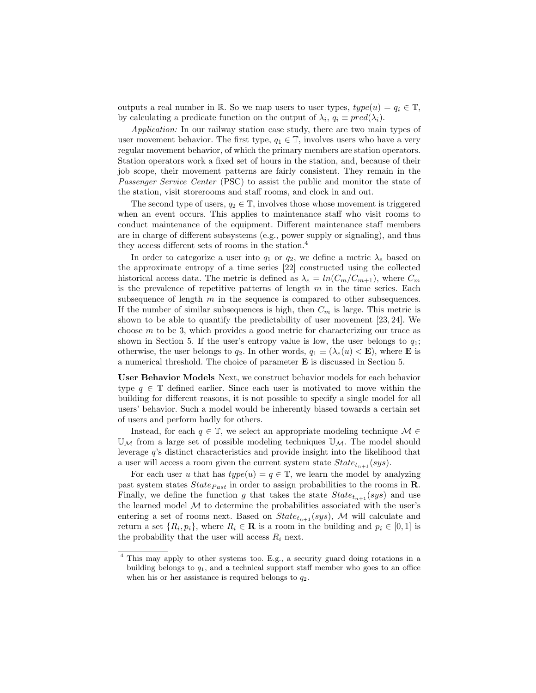outputs a real number in R. So we map users to user types,  $type(u) = q_i \in \mathbb{T}$ , by calculating a predicate function on the output of  $\lambda_i$ ,  $q_i \equiv pred(\lambda_i)$ .

Application: In our railway station case study, there are two main types of user movement behavior. The first type,  $q_1 \in \mathbb{T}$ , involves users who have a very regular movement behavior, of which the primary members are station operators. Station operators work a fixed set of hours in the station, and, because of their job scope, their movement patterns are fairly consistent. They remain in the Passenger Service Center (PSC) to assist the public and monitor the state of the station, visit storerooms and staff rooms, and clock in and out.

The second type of users,  $q_2 \in \mathbb{T}$ , involves those whose movement is triggered when an event occurs. This applies to maintenance staff who visit rooms to conduct maintenance of the equipment. Different maintenance staff members are in charge of different subsystems (e.g., power supply or signaling), and thus they access different sets of rooms in the station.<sup>4</sup>

In order to categorize a user into  $q_1$  or  $q_2$ , we define a metric  $\lambda_e$  based on the approximate entropy of a time series [22] constructed using the collected historical access data. The metric is defined as  $\lambda_e = ln(C_m/C_{m+1})$ , where  $C_m$ is the prevalence of repetitive patterns of length  $m$  in the time series. Each subsequence of length  $m$  in the sequence is compared to other subsequences. If the number of similar subsequences is high, then  $C_m$  is large. This metric is shown to be able to quantify the predictability of user movement [23, 24]. We choose  $m$  to be 3, which provides a good metric for characterizing our trace as shown in Section 5. If the user's entropy value is low, the user belongs to  $q_1$ ; otherwise, the user belongs to  $q_2$ . In other words,  $q_1 \equiv (\lambda_e(u) < \mathbf{E})$ , where **E** is a numerical threshold. The choice of parameter E is discussed in Section 5.

User Behavior Models Next, we construct behavior models for each behavior type  $q \in \mathbb{T}$  defined earlier. Since each user is motivated to move within the building for different reasons, it is not possible to specify a single model for all users' behavior. Such a model would be inherently biased towards a certain set of users and perform badly for others.

Instead, for each  $q \in \mathbb{T}$ , we select an appropriate modeling technique  $\mathcal{M} \in$  $\mathbb{U}_{\mathcal{M}}$  from a large set of possible modeling techniques  $\mathbb{U}_{\mathcal{M}}$ . The model should leverage q's distinct characteristics and provide insight into the likelihood that a user will access a room given the current system state  $State_{t_{n+1}}(sys)$ .

For each user u that has  $type(u) = q \in \mathbb{T}$ , we learn the model by analyzing past system states  $State_{Fast}$  in order to assign probabilities to the rooms in **R**. Finally, we define the function g that takes the state  $State_{t_{n+1}} (sys)$  and use the learned model  $M$  to determine the probabilities associated with the user's entering a set of rooms next. Based on  $State_{t_{n+1}} (sys)$ , M will calculate and return a set  $\{R_i, p_i\}$ , where  $R_i \in \mathbf{R}$  is a room in the building and  $p_i \in [0,1]$  is the probability that the user will access  $R_i$  next.

<sup>4</sup> This may apply to other systems too. E.g., a security guard doing rotations in a building belongs to  $q_1$ , and a technical support staff member who goes to an office when his or her assistance is required belongs to  $q_2$ .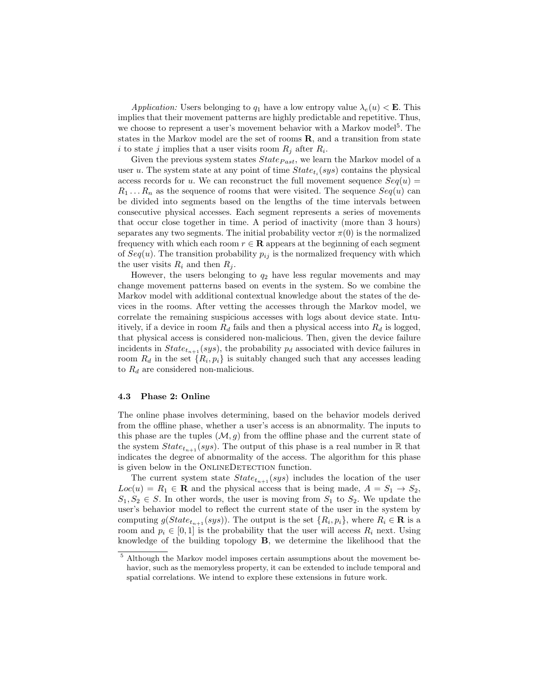Application: Users belonging to  $q_1$  have a low entropy value  $\lambda_e(u) < \mathbf{E}$ . This implies that their movement patterns are highly predictable and repetitive. Thus, we choose to represent a user's movement behavior with a Markov model<sup>5</sup>. The states in the Markov model are the set of rooms  $\bf{R}$ , and a transition from state i to state j implies that a user visits room  $R_j$  after  $R_i$ .

Given the previous system states  $State$ <sub>*Past*</sub>, we learn the Markov model of a user u. The system state at any point of time  $State_{t_i}(sys)$  contains the physical access records for u. We can reconstruct the full movement sequence  $Seq(u)$  $R_1 \ldots R_n$  as the sequence of rooms that were visited. The sequence  $Seq(u)$  can be divided into segments based on the lengths of the time intervals between consecutive physical accesses. Each segment represents a series of movements that occur close together in time. A period of inactivity (more than 3 hours) separates any two segments. The initial probability vector  $\pi(0)$  is the normalized frequency with which each room  $r \in \mathbf{R}$  appears at the beginning of each segment of  $Seq(u)$ . The transition probability  $p_{ij}$  is the normalized frequency with which the user visits  $R_i$  and then  $R_j$ .

However, the users belonging to  $q_2$  have less regular movements and may change movement patterns based on events in the system. So we combine the Markov model with additional contextual knowledge about the states of the devices in the rooms. After vetting the accesses through the Markov model, we correlate the remaining suspicious accesses with logs about device state. Intuitively, if a device in room  $R_d$  fails and then a physical access into  $R_d$  is logged, that physical access is considered non-malicious. Then, given the device failure incidents in  $State_{t_{n+1}}(sys)$ , the probability  $p_d$  associated with device failures in room  $R_d$  in the set  $\{R_i, p_i\}$  is suitably changed such that any accesses leading to  $R_d$  are considered non-malicious.

#### 4.3 Phase 2: Online

The online phase involves determining, based on the behavior models derived from the offline phase, whether a user's access is an abnormality. The inputs to this phase are the tuples  $(M, g)$  from the offline phase and the current state of the system  $State_{t_{n+1}} (sys)$ . The output of this phase is a real number in R that indicates the degree of abnormality of the access. The algorithm for this phase is given below in the ONLINEDETECTION function.

The current system state  $State_{t_{n+1}}(sys)$  includes the location of the user  $Loc(u) = R_1 \in \mathbf{R}$  and the physical access that is being made,  $A = S_1 \rightarrow S_2$ ,  $S_1, S_2 \in S$ . In other words, the user is moving from  $S_1$  to  $S_2$ . We update the user's behavior model to reflect the current state of the user in the system by computing  $g(State_{t_{n+1}}(sys))$ . The output is the set  $\{R_i, p_i\}$ , where  $R_i \in \mathbf{R}$  is a room and  $p_i \in [0,1]$  is the probability that the user will access  $R_i$  next. Using knowledge of the building topology B, we determine the likelihood that the

 $^5$  Although the Markov model imposes certain assumptions about the movement be-  $\,$ havior, such as the memoryless property, it can be extended to include temporal and spatial correlations. We intend to explore these extensions in future work.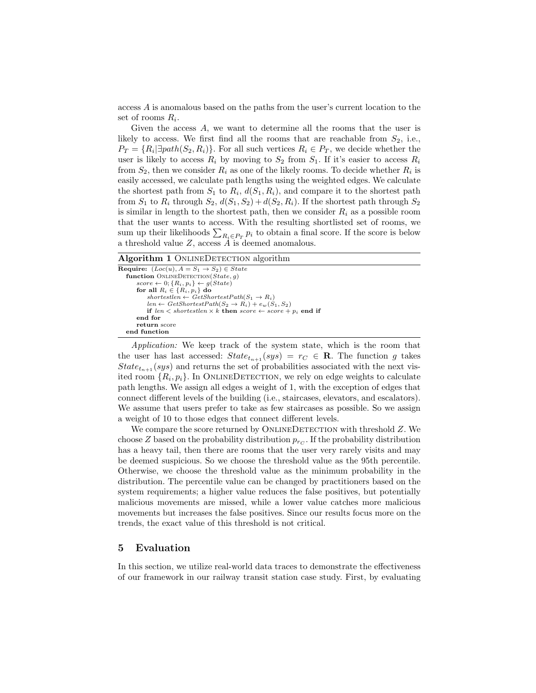access A is anomalous based on the paths from the user's current location to the set of rooms  $R_i$ .

Given the access A, we want to determine all the rooms that the user is likely to access. We first find all the rooms that are reachable from  $S_2$ , i.e.,  $P_T = \{R_i | \exists path(S_2, R_i)\}.$  For all such vertices  $R_i \in P_T$ , we decide whether the user is likely to access  $R_i$  by moving to  $S_2$  from  $S_1$ . If it's easier to access  $R_i$ from  $S_2$ , then we consider  $R_i$  as one of the likely rooms. To decide whether  $R_i$  is easily accessed, we calculate path lengths using the weighted edges. We calculate the shortest path from  $S_1$  to  $R_i$ ,  $d(S_1, R_i)$ , and compare it to the shortest path from  $S_1$  to  $R_i$  through  $S_2$ ,  $d(S_1, S_2) + d(S_2, R_i)$ . If the shortest path through  $S_2$ is similar in length to the shortest path, then we consider  $R_i$  as a possible room that the user wants to access. With the resulting shortlisted set of rooms, we sum up their likelihoods  $\sum_{R_i \in P_T} p_i$  to obtain a final score. If the score is below a threshold value  $Z$ , access  $\ddot{A}$  is deemed anomalous.

Algorithm 1 ONLINEDETECTION algorithm

| <b>Require:</b> $(Loc(u), A = S_1 \rightarrow S_2) \in State$                   |
|---------------------------------------------------------------------------------|
| function $OnLINEDETECTION(State, q)$                                            |
| $score \leftarrow 0; \{R_i, p_i\} \leftarrow g(State)$                          |
| for all $R_i \in \{R_i, p_i\}$ do                                               |
| $shortestlen \leftarrow GetShortestPath(S_1 \rightarrow R_i)$                   |
| $len \leftarrow GetShortestPath(S_2 \rightarrow R_i) + e_w(S_1, S_2)$           |
| if len $\lt$ shortestlen $\times$ k then score $\leftarrow$ score $+p_i$ end if |
| end for                                                                         |
| return score                                                                    |
| end function                                                                    |
|                                                                                 |

Application: We keep track of the system state, which is the room that the user has last accessed:  $State_{t_{n+1}}(sys) = r_C \in \mathbb{R}$ . The function g takes  $State_{t_{n+1}}(sys)$  and returns the set of probabilities associated with the next visited room  $\{R_i, p_i\}$ . In ONLINEDETECTION, we rely on edge weights to calculate path lengths. We assign all edges a weight of 1, with the exception of edges that connect different levels of the building (i.e., staircases, elevators, and escalators). We assume that users prefer to take as few staircases as possible. So we assign a weight of 10 to those edges that connect different levels.

We compare the score returned by ONLINEDETECTION with threshold  $Z$ . We choose  $Z$  based on the probability distribution  $p_{rc}$ . If the probability distribution has a heavy tail, then there are rooms that the user very rarely visits and may be deemed suspicious. So we choose the threshold value as the 95th percentile. Otherwise, we choose the threshold value as the minimum probability in the distribution. The percentile value can be changed by practitioners based on the system requirements; a higher value reduces the false positives, but potentially malicious movements are missed, while a lower value catches more malicious movements but increases the false positives. Since our results focus more on the trends, the exact value of this threshold is not critical.

## 5 Evaluation

In this section, we utilize real-world data traces to demonstrate the effectiveness of our framework in our railway transit station case study. First, by evaluating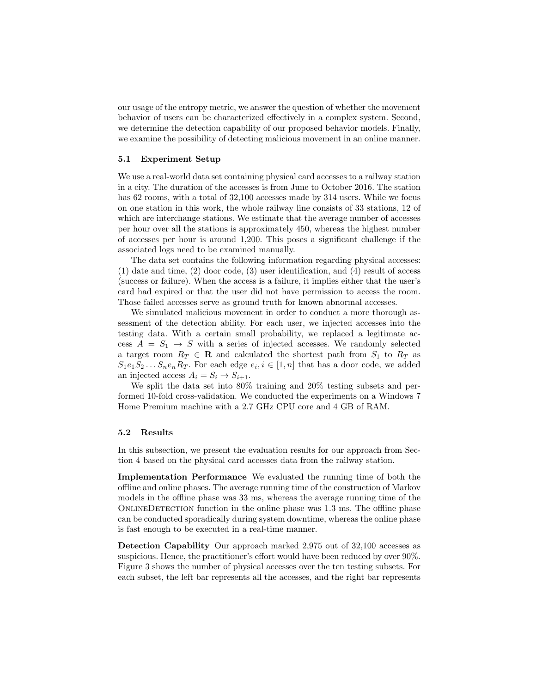our usage of the entropy metric, we answer the question of whether the movement behavior of users can be characterized effectively in a complex system. Second, we determine the detection capability of our proposed behavior models. Finally, we examine the possibility of detecting malicious movement in an online manner.

### 5.1 Experiment Setup

We use a real-world data set containing physical card accesses to a railway station in a city. The duration of the accesses is from June to October 2016. The station has 62 rooms, with a total of 32,100 accesses made by 314 users. While we focus on one station in this work, the whole railway line consists of 33 stations, 12 of which are interchange stations. We estimate that the average number of accesses per hour over all the stations is approximately 450, whereas the highest number of accesses per hour is around 1,200. This poses a significant challenge if the associated logs need to be examined manually.

The data set contains the following information regarding physical accesses: (1) date and time, (2) door code, (3) user identification, and (4) result of access (success or failure). When the access is a failure, it implies either that the user's card had expired or that the user did not have permission to access the room. Those failed accesses serve as ground truth for known abnormal accesses.

We simulated malicious movement in order to conduct a more thorough assessment of the detection ability. For each user, we injected accesses into the testing data. With a certain small probability, we replaced a legitimate access  $A = S_1 \rightarrow S$  with a series of injected accesses. We randomly selected a target room  $R_T \in \mathbf{R}$  and calculated the shortest path from  $S_1$  to  $R_T$  as  $S_1e_1S_2...S_ne_nR_T$ . For each edge  $e_i, i \in [1, n]$  that has a door code, we added an injected access  $A_i = S_i \rightarrow S_{i+1}$ .

We split the data set into 80% training and 20% testing subsets and performed 10-fold cross-validation. We conducted the experiments on a Windows 7 Home Premium machine with a 2.7 GHz CPU core and 4 GB of RAM.

### 5.2 Results

In this subsection, we present the evaluation results for our approach from Section 4 based on the physical card accesses data from the railway station.

Implementation Performance We evaluated the running time of both the offline and online phases. The average running time of the construction of Markov models in the offline phase was 33 ms, whereas the average running time of the OnlineDetection function in the online phase was 1.3 ms. The offline phase can be conducted sporadically during system downtime, whereas the online phase is fast enough to be executed in a real-time manner.

Detection Capability Our approach marked 2,975 out of 32,100 accesses as suspicious. Hence, the practitioner's effort would have been reduced by over 90%. Figure 3 shows the number of physical accesses over the ten testing subsets. For each subset, the left bar represents all the accesses, and the right bar represents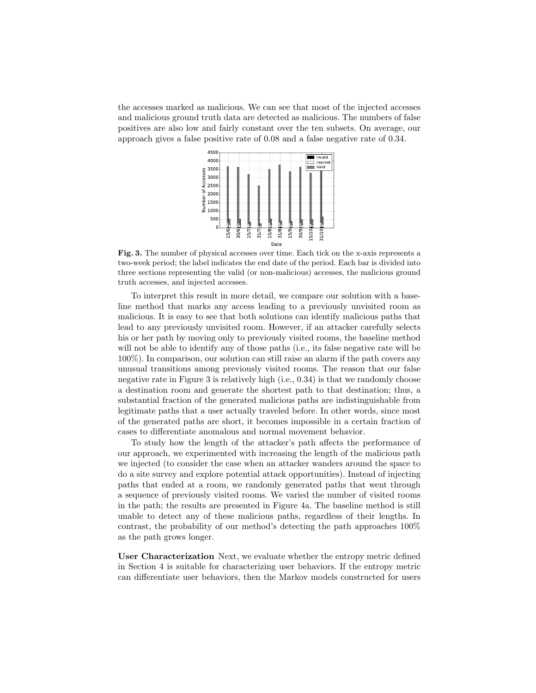the accesses marked as malicious. We can see that most of the injected accesses and malicious ground truth data are detected as malicious. The numbers of false positives are also low and fairly constant over the ten subsets. On average, our approach gives a false positive rate of 0.08 and a false negative rate of 0.34.



Fig. 3. The number of physical accesses over time. Each tick on the x-axis represents a two-week period; the label indicates the end date of the period. Each bar is divided into three sections representing the valid (or non-malicious) accesses, the malicious ground truth accesses, and injected accesses.

To interpret this result in more detail, we compare our solution with a baseline method that marks any access leading to a previously unvisited room as malicious. It is easy to see that both solutions can identify malicious paths that lead to any previously unvisited room. However, if an attacker carefully selects his or her path by moving only to previously visited rooms, the baseline method will not be able to identify any of those paths (i.e., its false negative rate will be 100%). In comparison, our solution can still raise an alarm if the path covers any unusual transitions among previously visited rooms. The reason that our false negative rate in Figure 3 is relatively high (i.e., 0.34) is that we randomly choose a destination room and generate the shortest path to that destination; thus, a substantial fraction of the generated malicious paths are indistinguishable from legitimate paths that a user actually traveled before. In other words, since most of the generated paths are short, it becomes impossible in a certain fraction of cases to differentiate anomalous and normal movement behavior.

To study how the length of the attacker's path affects the performance of our approach, we experimented with increasing the length of the malicious path we injected (to consider the case when an attacker wanders around the space to do a site survey and explore potential attack opportunities). Instead of injecting paths that ended at a room, we randomly generated paths that went through a sequence of previously visited rooms. We varied the number of visited rooms in the path; the results are presented in Figure 4a. The baseline method is still unable to detect any of these malicious paths, regardless of their lengths. In contrast, the probability of our method's detecting the path approaches 100% as the path grows longer.

User Characterization Next, we evaluate whether the entropy metric defined in Section 4 is suitable for characterizing user behaviors. If the entropy metric can differentiate user behaviors, then the Markov models constructed for users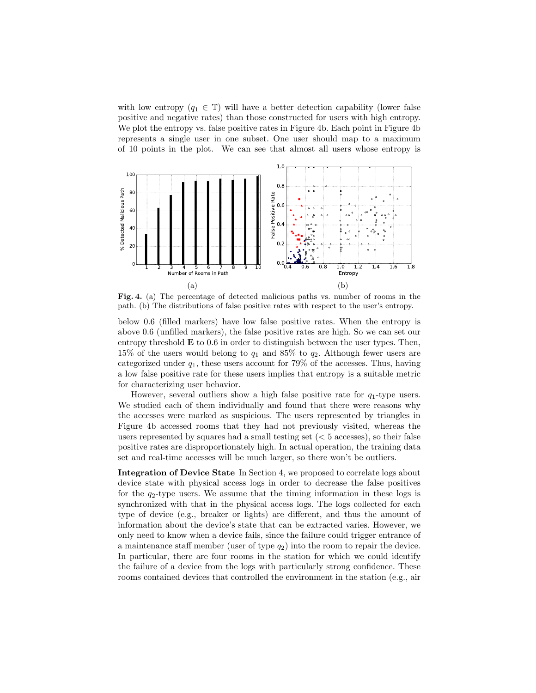with low entropy  $(q_1 \in \mathbb{T})$  will have a better detection capability (lower false positive and negative rates) than those constructed for users with high entropy. We plot the entropy vs. false positive rates in Figure 4b. Each point in Figure 4b. represents a single user in one subset. One user should map to a maximum of 10 points in the plot. We can see that almost all users whose entropy is



Fig. 4. (a) The percentage of detected malicious paths vs. number of rooms in the path. (b) The distributions of false positive rates with respect to the user's entropy.

below 0.6 (filled markers) have low false positive rates. When the entropy is above 0.6 (unfilled markers), the false positive rates are high. So we can set our entropy threshold  $E$  to 0.6 in order to distinguish between the user types. Then, 15% of the users would belong to  $q_1$  and 85% to  $q_2$ . Although fewer users are categorized under  $q_1$ , these users account for 79% of the accesses. Thus, having a low false positive rate for these users implies that entropy is a suitable metric for characterizing user behavior.

However, several outliers show a high false positive rate for  $q_1$ -type users. We studied each of them individually and found that there were reasons why the accesses were marked as suspicious. The users represented by triangles in Figure 4b accessed rooms that they had not previously visited, whereas the users represented by squares had a small testing set  $(< 5$  accesses), so their false positive rates are disproportionately high. In actual operation, the training data set and real-time accesses will be much larger, so there won't be outliers.

Integration of Device State In Section 4, we proposed to correlate logs about device state with physical access logs in order to decrease the false positives for the  $q_2$ -type users. We assume that the timing information in these logs is synchronized with that in the physical access logs. The logs collected for each type of device (e.g., breaker or lights) are different, and thus the amount of information about the device's state that can be extracted varies. However, we only need to know when a device fails, since the failure could trigger entrance of a maintenance staff member (user of type  $q_2$ ) into the room to repair the device. In particular, there are four rooms in the station for which we could identify the failure of a device from the logs with particularly strong confidence. These rooms contained devices that controlled the environment in the station (e.g., air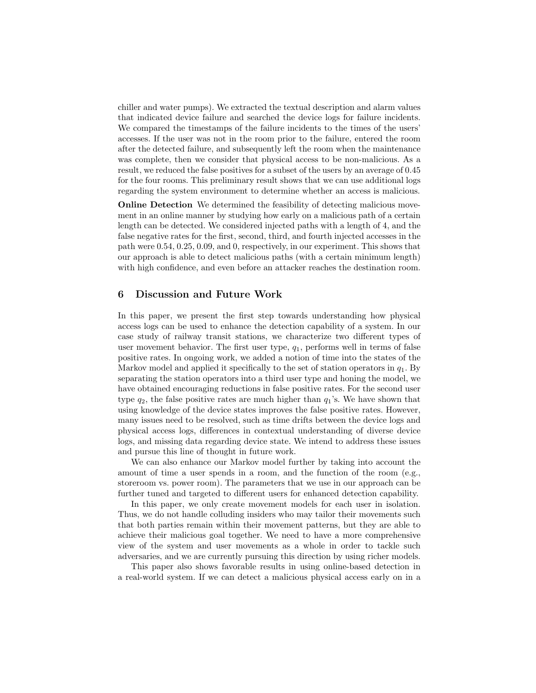chiller and water pumps). We extracted the textual description and alarm values that indicated device failure and searched the device logs for failure incidents. We compared the timestamps of the failure incidents to the times of the users' accesses. If the user was not in the room prior to the failure, entered the room after the detected failure, and subsequently left the room when the maintenance was complete, then we consider that physical access to be non-malicious. As a result, we reduced the false positives for a subset of the users by an average of 0.45 for the four rooms. This preliminary result shows that we can use additional logs regarding the system environment to determine whether an access is malicious.

Online Detection We determined the feasibility of detecting malicious movement in an online manner by studying how early on a malicious path of a certain length can be detected. We considered injected paths with a length of 4, and the false negative rates for the first, second, third, and fourth injected accesses in the path were 0.54, 0.25, 0.09, and 0, respectively, in our experiment. This shows that our approach is able to detect malicious paths (with a certain minimum length) with high confidence, and even before an attacker reaches the destination room.

### 6 Discussion and Future Work

In this paper, we present the first step towards understanding how physical access logs can be used to enhance the detection capability of a system. In our case study of railway transit stations, we characterize two different types of user movement behavior. The first user type,  $q_1$ , performs well in terms of false positive rates. In ongoing work, we added a notion of time into the states of the Markov model and applied it specifically to the set of station operators in  $q_1$ . By separating the station operators into a third user type and honing the model, we have obtained encouraging reductions in false positive rates. For the second user type  $q_2$ , the false positive rates are much higher than  $q_1$ 's. We have shown that using knowledge of the device states improves the false positive rates. However, many issues need to be resolved, such as time drifts between the device logs and physical access logs, differences in contextual understanding of diverse device logs, and missing data regarding device state. We intend to address these issues and pursue this line of thought in future work.

We can also enhance our Markov model further by taking into account the amount of time a user spends in a room, and the function of the room (e.g., storeroom vs. power room). The parameters that we use in our approach can be further tuned and targeted to different users for enhanced detection capability.

In this paper, we only create movement models for each user in isolation. Thus, we do not handle colluding insiders who may tailor their movements such that both parties remain within their movement patterns, but they are able to achieve their malicious goal together. We need to have a more comprehensive view of the system and user movements as a whole in order to tackle such adversaries, and we are currently pursuing this direction by using richer models.

This paper also shows favorable results in using online-based detection in a real-world system. If we can detect a malicious physical access early on in a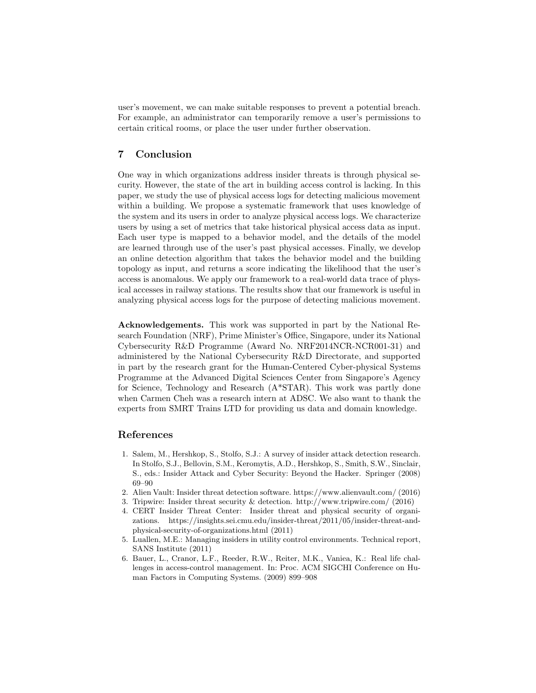user's movement, we can make suitable responses to prevent a potential breach. For example, an administrator can temporarily remove a user's permissions to certain critical rooms, or place the user under further observation.

# 7 Conclusion

One way in which organizations address insider threats is through physical security. However, the state of the art in building access control is lacking. In this paper, we study the use of physical access logs for detecting malicious movement within a building. We propose a systematic framework that uses knowledge of the system and its users in order to analyze physical access logs. We characterize users by using a set of metrics that take historical physical access data as input. Each user type is mapped to a behavior model, and the details of the model are learned through use of the user's past physical accesses. Finally, we develop an online detection algorithm that takes the behavior model and the building topology as input, and returns a score indicating the likelihood that the user's access is anomalous. We apply our framework to a real-world data trace of physical accesses in railway stations. The results show that our framework is useful in analyzing physical access logs for the purpose of detecting malicious movement.

Acknowledgements. This work was supported in part by the National Research Foundation (NRF), Prime Minister's Office, Singapore, under its National Cybersecurity R&D Programme (Award No. NRF2014NCR-NCR001-31) and administered by the National Cybersecurity R&D Directorate, and supported in part by the research grant for the Human-Centered Cyber-physical Systems Programme at the Advanced Digital Sciences Center from Singapore's Agency for Science, Technology and Research (A\*STAR). This work was partly done when Carmen Cheh was a research intern at ADSC. We also want to thank the experts from SMRT Trains LTD for providing us data and domain knowledge.

### References

- 1. Salem, M., Hershkop, S., Stolfo, S.J.: A survey of insider attack detection research. In Stolfo, S.J., Bellovin, S.M., Keromytis, A.D., Hershkop, S., Smith, S.W., Sinclair, S., eds.: Insider Attack and Cyber Security: Beyond the Hacker. Springer (2008) 69–90
- 2. Alien Vault: Insider threat detection software. https://www.alienvault.com/ (2016)
- 3. Tripwire: Insider threat security & detection. http://www.tripwire.com/ (2016)
- 4. CERT Insider Threat Center: Insider threat and physical security of organizations. https://insights.sei.cmu.edu/insider-threat/2011/05/insider-threat-andphysical-security-of-organizations.html (2011)
- 5. Luallen, M.E.: Managing insiders in utility control environments. Technical report, SANS Institute (2011)
- 6. Bauer, L., Cranor, L.F., Reeder, R.W., Reiter, M.K., Vaniea, K.: Real life challenges in access-control management. In: Proc. ACM SIGCHI Conference on Human Factors in Computing Systems. (2009) 899–908